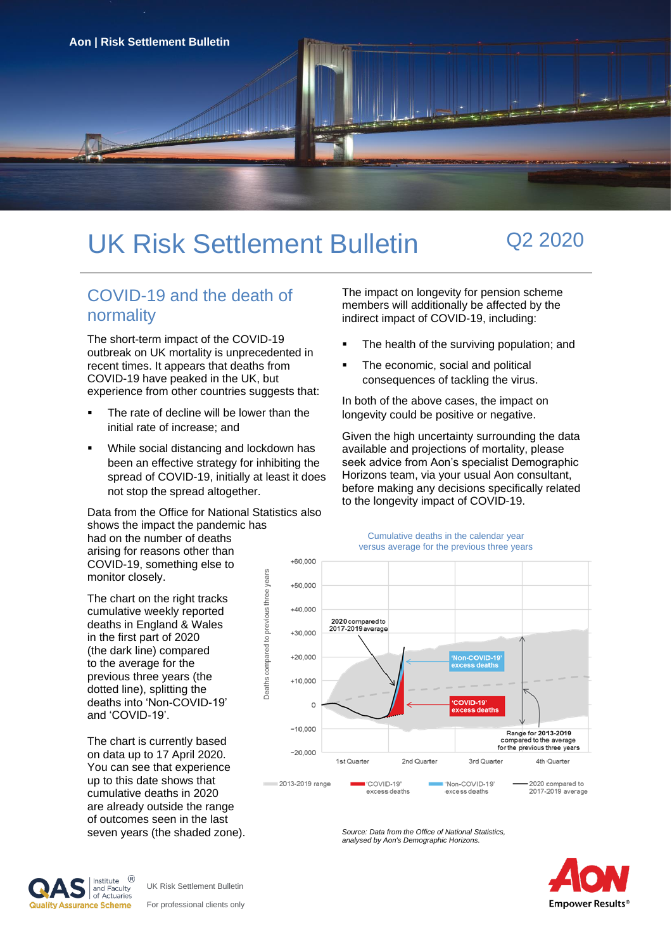

# UK Risk Settlement Bulletin Q2 2020

## COVID-19 and the death of normality

The short-term impact of the COVID-19 outbreak on UK mortality is unprecedented in recent times. It appears that deaths from COVID-19 have peaked in the UK, but experience from other countries suggests that:

- The rate of decline will be lower than the initial rate of increase; and
- While social distancing and lockdown has been an effective strategy for inhibiting the spread of COVID-19, initially at least it does not stop the spread altogether.

Data from the Office for National Statistics also shows the impact the pandemic has had on the number of deaths

arising for reasons other than COVID-19, something else to monitor closely.

The chart on the right tracks cumulative weekly reported deaths in England & Wales in the first part of 2020 (the dark line) compared to the average for the previous three years (the dotted line), splitting the deaths into 'Non-COVID-19' and 'COVID-19'.

The chart is currently based on data up to 17 April 2020. You can see that experience up to this date shows that cumulative deaths in 2020 are already outside the range of outcomes seen in the last seven years (the shaded zone). The impact on longevity for pension scheme members will additionally be affected by the indirect impact of COVID-19, including:

- The health of the surviving population; and
- The economic, social and political consequences of tackling the virus.

In both of the above cases, the impact on longevity could be positive or negative.

Given the high uncertainty surrounding the data available and projections of mortality, please seek advice from Aon's specialist Demographic Horizons team, via your usual Aon consultant, before making any decisions specifically related to the longevity impact of COVID-19.



*Source: Data from the Office of National Statistics, analysed by Aon's Demographic Horizons.*





UK Risk Settlement Bulletin For professional clients only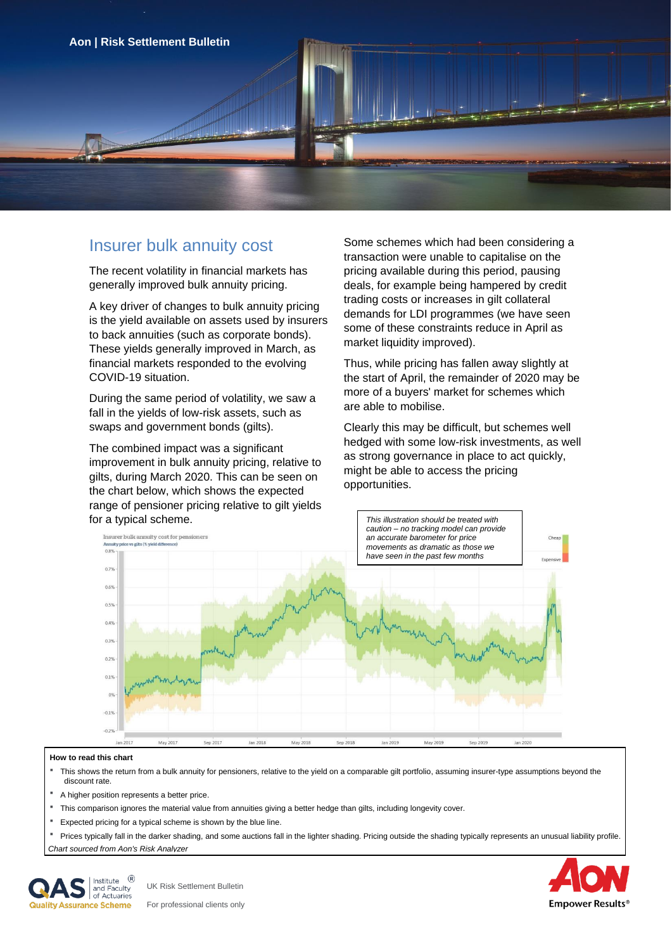

The recent volatility in financial markets has generally improved bulk annuity pricing.

A key driver of changes to bulk annuity pricing is the yield available on assets used by insurers to back annuities (such as corporate bonds). These yields generally improved in March, as financial markets responded to the evolving COVID-19 situation.

During the same period of volatility, we saw a fall in the yields of low-risk assets, such as swaps and government bonds (gilts).

The combined impact was a significant improvement in bulk annuity pricing, relative to gilts, during March 2020. This can be seen on the chart below, which shows the expected range of pensioner pricing relative to gilt yields for a typical scheme.

Insurer bulk annuity cost Some schemes which had been considering a transaction were unable to capitalise on the pricing available during this period, pausing deals, for example being hampered by credit trading costs or increases in gilt collateral demands for LDI programmes (we have seen some of these constraints reduce in April as market liquidity improved).

> Thus, while pricing has fallen away slightly at the start of April, the remainder of 2020 may be more of a buyers' market for schemes which are able to mobilise.

Clearly this may be difficult, but schemes well hedged with some low-risk investments, as well as strong governance in place to act quickly, might be able to access the pricing opportunities.



#### **How to read this chart**

- This shows the return from a bulk annuity for pensioners, relative to the yield on a comparable gilt portfolio, assuming insurer-type assumptions beyond the discount rate.
- A higher position represents a better price.
- This comparison ignores the material value from annuities giving a better hedge than gilts, including longevity cover.
- Expected pricing for a typical scheme is shown by the blue line.
- Prices typically fall in the darker shading, and some auctions fall in the lighter shading. Pricing outside the shading typically represents an unusual liability profile.

*Chart sourced from Aon's [Risk Analyzer](https://riskanalyzer.aon.com/unitedkingdom.aspx)*



UK Risk Settlement Bulletin For professional clients only **Empower Results**<sup>®</sup>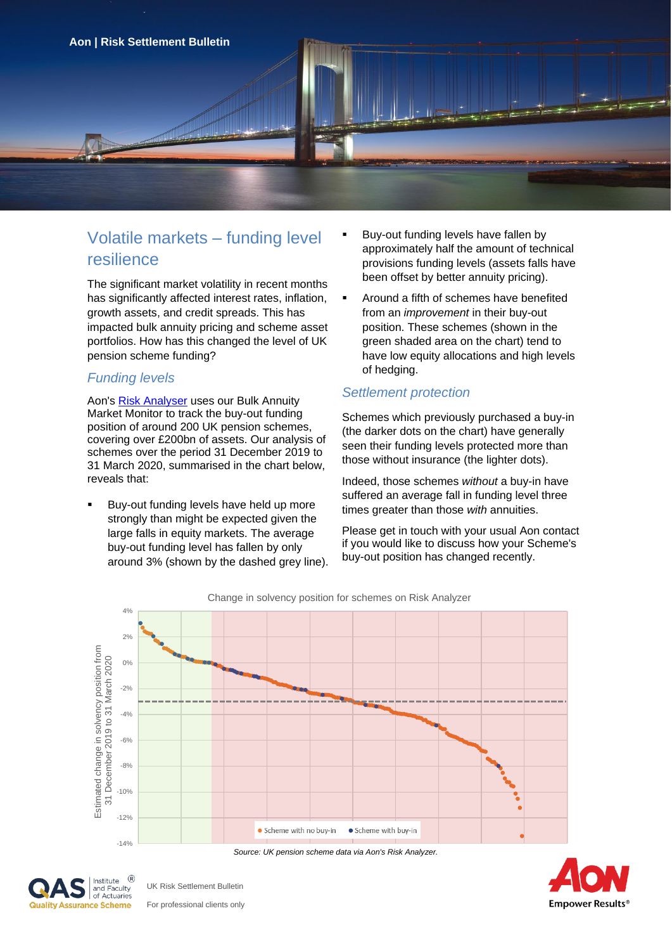

# Volatile markets – funding level resilience

The significant market volatility in recent months has significantly affected interest rates, inflation, growth assets, and credit spreads. This has impacted bulk annuity pricing and scheme asset portfolios. How has this changed the level of UK pension scheme funding?

#### *Funding levels*

Aon's [Risk Analyser](https://riskanalyzer.aon.com/UnitedKingdom.aspx) uses our Bulk Annuity Market Monitor to track the buy-out funding position of around 200 UK pension schemes, covering over £200bn of assets. Our analysis of schemes over the period 31 December 2019 to 31 March 2020, summarised in the chart below, reveals that:

Buy-out funding levels have held up more strongly than might be expected given the large falls in equity markets. The average buy-out funding level has fallen by only around 3% (shown by the dashed grey line).

- Buy-out funding levels have fallen by approximately half the amount of technical provisions funding levels (assets falls have been offset by better annuity pricing).
- Around a fifth of schemes have benefited from an *improvement* in their buy-out position. These schemes (shown in the green shaded area on the chart) tend to have low equity allocations and high levels of hedging.

## *Settlement protection*

Schemes which previously purchased a buy-in (the darker dots on the chart) have generally seen their funding levels protected more than those without insurance (the lighter dots).

Indeed, those schemes *without* a buy-in have suffered an average fall in funding level three times greater than those *with* annuities.

Please get in touch with your usual Aon contact if you would like to discuss how your Scheme's buy-out position has changed recently.



*Source: UK pension scheme data via Aon's Risk Analyzer.*



UK Risk Settlement Bulletin For professional clients only **Empower Results®** 

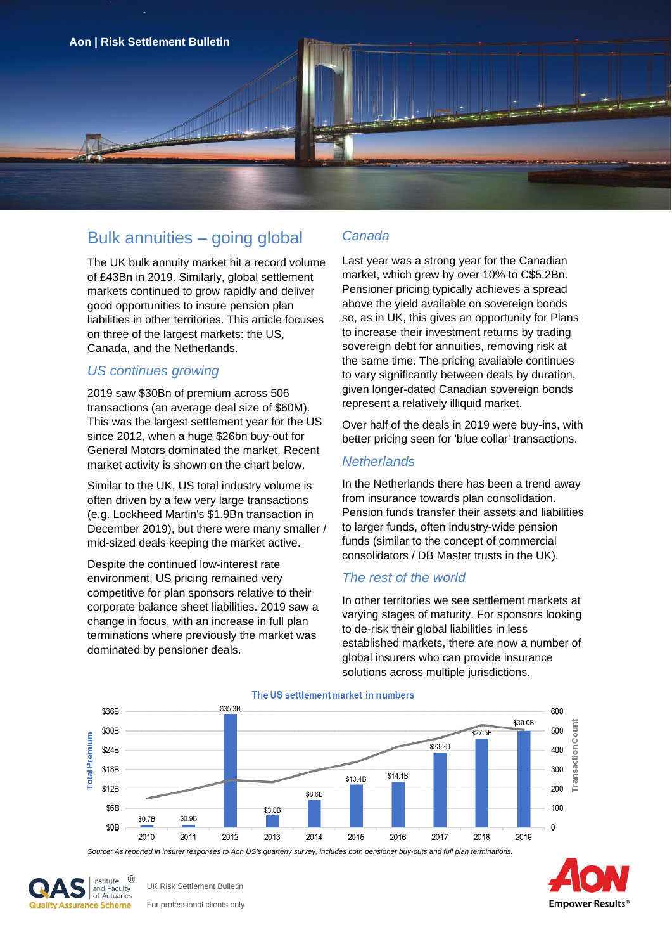

# Bulk annuities – going global

The UK bulk annuity market hit a record volume of £43Bn in 2019. Similarly, global settlement markets continued to grow rapidly and deliver good opportunities to insure pension plan liabilities in other territories. This article focuses on three of the largest markets: the US, Canada, and the Netherlands.

## *US continues growing*

2019 saw \$30Bn of premium across 506 transactions (an average deal size of \$60M). This was the largest settlement year for the US since 2012, when a huge \$26bn buy-out for General Motors dominated the market. Recent market activity is shown on the chart below.

Similar to the UK, US total industry volume is often driven by a few very large transactions (e.g. Lockheed Martin's \$1.9Bn transaction in December 2019), but there were many smaller / mid-sized deals keeping the market active.

Despite the continued low-interest rate environment, US pricing remained very competitive for plan sponsors relative to their corporate balance sheet liabilities. 2019 saw a change in focus, with an increase in full plan terminations where previously the market was dominated by pensioner deals.

### *Canada*

Last year was a strong year for the Canadian market, which grew by over 10% to C\$5.2Bn. Pensioner pricing typically achieves a spread above the yield available on sovereign bonds so, as in UK, this gives an opportunity for Plans to increase their investment returns by trading sovereign debt for annuities, removing risk at the same time. The pricing available continues to vary significantly between deals by duration, given longer-dated Canadian sovereign bonds represent a relatively illiquid market.

Over half of the deals in 2019 were buy-ins, with better pricing seen for 'blue collar' transactions.

#### *Netherlands*

In the Netherlands there has been a trend away from insurance towards plan consolidation. Pension funds transfer their assets and liabilities to larger funds, often industry-wide pension funds (similar to the concept of commercial consolidators / DB Master trusts in the UK).

### *The rest of the world*

In other territories we see settlement markets at varying stages of maturity. For sponsors looking to de-risk their global liabilities in less established markets, there are now a number of global insurers who can provide insurance solutions across multiple jurisdictions.



#### The US settlement market in numbers

*Source: As reported in insurer responses to Aon US's quarterly survey, includes both pensioner buy-outs and full plan terminations.*



UK Risk Settlement Bulletin For professional clients only **Empower Results®**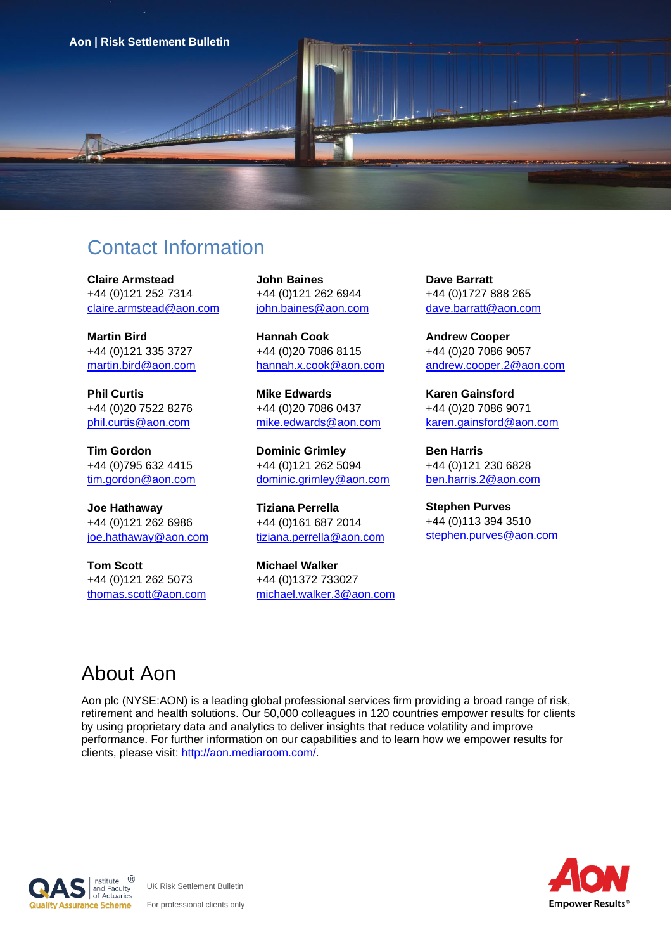

# Contact Information

**Claire Armstead** +44 (0)121 252 7314 claire.armstead@aon.com

**Martin Bird** +44 (0)121 335 3727 [martin.bird@aon.com](mailto:martin.bird@aonhewitt.com)

**Phil Curtis** +44 (0)20 7522 8276 phil.curtis@aon.com

**Tim Gordon** +44 (0)795 632 4415 tim.gordon@aon.com

**Joe Hathaway** +44 (0)121 262 6986 [joe.hathaway@aon.com](mailto:joe.hathaway@aon.com)

**Tom Scott** +44 (0)121 262 5073 [thomas.scott@aon.com](mailto:thomas.scott@aonhewitt.com) **John Baines** +44 (0)121 262 6944 john.baines@aon.com

**Hannah Cook** +44 (0)20 7086 8115 hannah.x.cook@aon.com

**Mike Edwards** +44 (0)20 7086 0437 mike.edwards@aon.com

**Dominic Grimley** +44 (0)121 262 5094 dominic.grimley@aon.com

**Tiziana Perrella** +44 (0)161 687 2014 tiziana.perrella@aon.com

**Michael Walker** +44 (0)1372 733027 michael.walker.3@aon.com **Dave Barratt** +44 (0)1727 888 265 dave.barratt@aon.com

**Andrew Cooper** +44 (0)20 7086 9057 andrew.cooper.2@aon.com

**Karen Gainsford** +44 (0)20 7086 9071 [karen.gainsford@aon.com](mailto:tim.gordon.2@aonhewitt.com)

**Ben Harris** +44 (0)121 230 6828 [ben.harris.2@aon.com](mailto:thomas.scott@aonhewitt.com)

**Stephen Purves** +44 (0)113 394 3510 [stephen.purves@aon.com](mailto:stephen.purves@aon.com)

# About Aon

Aon plc (NYSE:AON) is a leading global professional services firm providing a broad range of risk, retirement and health solutions. Our 50,000 colleagues in 120 countries empower results for clients by using proprietary data and analytics to deliver insights that reduce volatility and improve performance. For further information on our capabilities and to learn how we empower results for clients, please visit: [http://aon.mediaroom.com/.](http://aon.mediaroom.com/)





UK Risk Settlement Bulletin For professional clients only